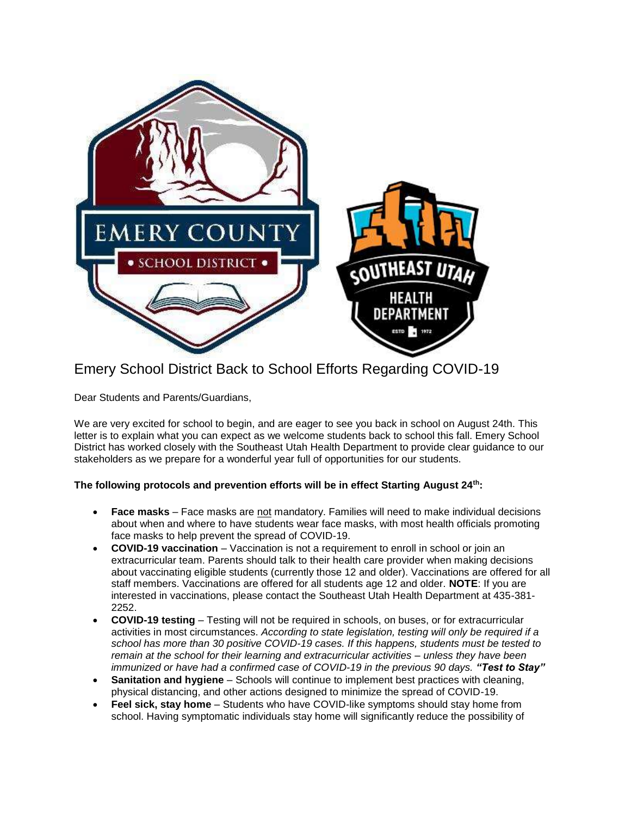

## Emery School District Back to School Efforts Regarding COVID-19

Dear Students and Parents/Guardians,

We are very excited for school to begin, and are eager to see you back in school on August 24th. This letter is to explain what you can expect as we welcome students back to school this fall. Emery School District has worked closely with the Southeast Utah Health Department to provide clear guidance to our stakeholders as we prepare for a wonderful year full of opportunities for our students.

## **The following protocols and prevention efforts will be in effect Starting August 24th:**

- **Face masks** Face masks are not mandatory. Families will need to make individual decisions about when and where to have students wear face masks, with most health officials promoting face masks to help prevent the spread of COVID-19.
- **COVID-19 vaccination** Vaccination is not a requirement to enroll in school or join an extracurricular team. Parents should talk to their health care provider when making decisions about vaccinating eligible students (currently those 12 and older). Vaccinations are offered for all staff members. Vaccinations are offered for all students age 12 and older. **NOTE**: If you are interested in vaccinations, please contact the Southeast Utah Health Department at 435-381- 2252.
- **COVID-19 testing** Testing will not be required in schools, on buses, or for extracurricular activities in most circumstances. *According to state legislation, testing will only be required if a school has more than 30 positive COVID-19 cases. If this happens, students must be tested to remain at the school for their learning and extracurricular activities – unless they have been*  immunized or have had a confirmed case of COVID-19 in the previous 90 days. **"Test to Stay"**
- **Sanitation and hygiene** Schools will continue to implement best practices with cleaning, physical distancing, and other actions designed to minimize the spread of COVID-19.
- **Feel sick, stay home**  Students who have COVID-like symptoms should stay home from school. Having symptomatic individuals stay home will significantly reduce the possibility of